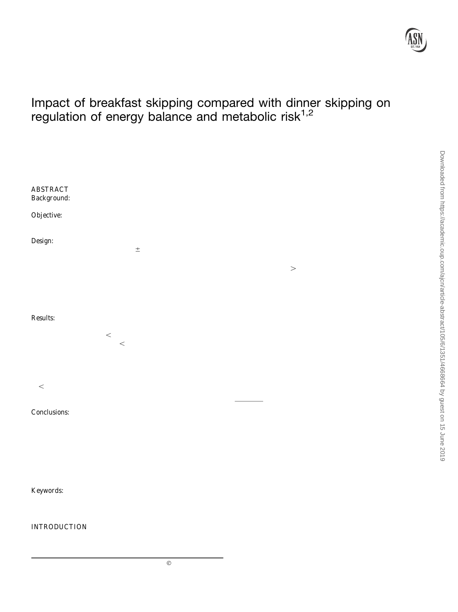

DO

# Impact of breakfast skipping compared with dinner skipping on regulation of energy balance and metabolic risk $1,2$

Alessa Na $3,6$  Nora Mirza,<sup>4,6</sup> Franziska Hagele, Julia Kahlhöfer,<sup>3</sup> Judith Keller, Russell Rising, Thomas A Kufer, and Anja Bosy-Westphสิเ

Departments or Applied Nutrition and Dietetics an dmmunology, Institute of Nutritional Medicine, University of Hohenheim, Stuttgart, Germany; and 5 D&S Consulting Services, Inc., New York, NY

## ABSTRACT

at night) is associated with an increased risk of obesity and type

Background: Meal skipping has become an increasing trend of th $\alpha$  diabetes (1, 2). On the other hand, popular trends such as modern lifestyle that may lead to obesity and type 2 diabetes. breakfast or dinner skipping are advertised for weight managemer潮 Objective: We investigated whether the timing of meal skipping however, conclusive scientiÞc evidence to support these supposiimpacts these risks by affecting circadian regulation of energy bations is lacking (3).

ance, glucose metabolism, and postprandial inßammatory responsesPrevious tightly controlled room calorimetry studies that in-Design: In a randomized controlled crossover trial, 17 participants<sub>/estigated the impact of meal frequency on the regulation of energy</sub> [body mass index (in kg/m): 23.7 ± 4.6] underwent 3 isocaloric balance under isocaloric conditions did not Þnd a difference in 24-h interventions (55%, 30%, and 15% carbohydrate, fat, and pr@nergy expenditure between large (1Đ2 meals/d), normal (3 meals/d), tein, respectively): a breakfast skipping day (BSD) and a dinner small, frequent≯5 meals/d) patterns (4Đ8). Although no effect skipping day (DSD) separated by a conventional 3-meal-structure consumption frequency on mean 24-h energy expenditure and day (control). Energy and macronutrient balance was measured in espiratory quotient (RQ) was observed in these studies, a lower respiration chamber. Postprandial glucose, insulin, and inßamm $a$ equency of 2 or 3 compared with 6Ð14 meals increased sleeping ar tory responses in leukocytes as well as 24-h glycemia and insulipesting metabolic rate (5, 6) and diet-induced thermogenesis (DIT) secretion were analyzed. Downloaded from https://academic.oup.com/ajcn/article-abstract/105/6/1351/4668664 by guest on 15 June 2019

(4) and changed the diurnal pattern of nutrient partitioning to in  $\frac{5}{6}$ Results: When compared with the 3-meal control, 24-h energy creased fat oxidation until noon (4, 8). The timing of meal conexpenditure was higher on both skipping days (BSD: +41 kcal/d; sumption has also been shown to affect DIT, with higher levels in DSD: +91 kcal/d; bothP < 0.01), whereas fat oxidation increased the morning than in the afternoon and night (9). A 44% lower DIT on the BSD only  $(+16 \text{ g/dP} < 0.001)$ . Spontaneous physical ac- $\frac{1}{10}$  in the evening than in the morning  $(10)$  argues against a beneÞcial tivity, 24-h glycemia, and 24-h insulin secretion did not differ betwity, 24-11 grycernia, and 24-11 insulin secretion did not differ be-effect of breakfast skipping on energy balance and suggests a fa-<br>tween intervention days. The postprandial homeostasis model reble import of dinner eli ween intervention days. The postprandial homeostasis modern words impact of dinner skipping. We therefore hypothesized that<br>assessment index (+54%) and glucose concentrations after lunch alternt eliming compared with dinne (+46%) were, however, higher on the BSD than on the DSD (both that content is all the distribution of with dinner skipping leads to lowe@  $\beta$ reakfast skipping compared with dinner skipping leads to lower 564  $P < 0.05$ ). Concomitantly, a longer fasting period with breakfast energy expenditure. ģ

skipping also increased the inßammatory potential of peripheral blood cells after lunch.

energy expenditure. In contrastigher postprandial insulin concentrations and increased fatidation with breakfast skipping suggest the evelopment of metabolic inßexibility in response to prolonged fasting that may in the long term lead to low-grade inßammation and impaired glucoshomeostasis. This trial was <sup>westphal@uni-hohenheim.de.</sup> registered at clinicaltrials.gov as NCT02635139. Am J Clin Nutr 2017;105:1351Ð61.

Keywords: energy balance, insulin sensitivity, macronutrient AUC; LF, low frequency; MAGE, mean amplitude of glycemic excursions; oxidation, meal skipping, meal frequency

## INTRODUCTION

Conclusions: Compared with 3 meals/d, meal skipping increased <sup>2</sup> Supplemental Figures 1Đ3 are available from the ÒOnline Supporting <sup>1</sup> Supported by budgetary resources of the University of Hohenheim. MaterialÓ link in the online posting of the article and from the same link in<sup> $=$ </sup> the online table of contents at http://ajcn.nutrition.org.

 $^6$ These authors contributed equally to this work and share Þrst authorshi $\bar{\mathrm{g}}$ \*To whom correspondence should be addressed. E-mail: anja.bos $\sqrt{p}$ 

<sup>7</sup> Abbrevations used: BSD, breakfast skipping day; DIT, diet-induced ther $\overline{0}$ mogenesis; DSD, dinner skipping day; ECG, electrocardiographic; FFA, free fatty acid; FMI, fat mass index; HF, high frequency; HOMApp, postprandial homeostasis model assessment; HRV, heart rate variability; iAUC, incremental

NLRP3, NOD-like receptor protein 3; npRQ, nonprotein respiratory quotient; RMSSD, root-mean-square difference in successive normal-to-normal intervals; RQ, respiratory quotient; SDRR, SD of normal-to-normal intervals; SNS, sympathetic nervous system; tAUC, total AUC; TLR, Toll-like receptor; VCO<sub>2</sub>, carbon dioxide production,  $V_2$ , oxygen consumption.

Eating in misalignment with the biological clock (e.g., skipping Received December 16, 2016. Accepted for publication April 4, 2017. breakfast and consuming bigger meals in the evening or eating lateFirst published online May 10, 2017; doi: 10.3945/ajcn.116.151332.

Am J Clin Nutr2017;105:1351Ð61. Printed in USA. 2017 American Society for Nutrition 1351 1351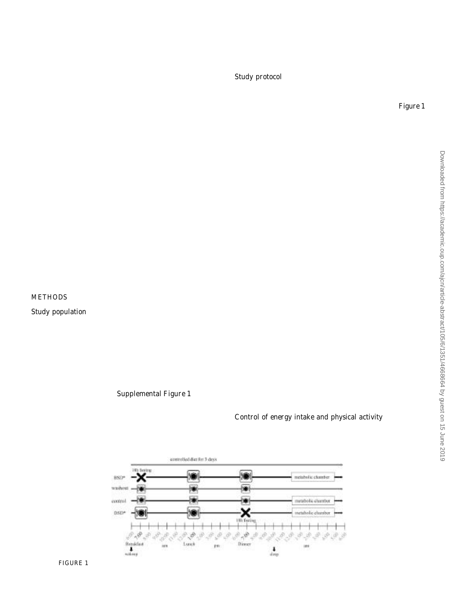## 1352 NAS ET AL.

Diurnal differences in energy expenditure and nutrient partiregistered at clinicaltrials.gov as NCT02635139. All of the partioning can be mediated by sympathetic nervous system (SNS ) provided written informed consent before participation. activity and endocrine factors. With lower meal frequency, higher

peaks and subsequently lower troughs of insulin might lead to Study protocol increased fat oxidation (6). In addition to meal frequency, cir-

cadian rhythms in insulin sensitivity are known to affect blood A randomized crossover nutrition intervention was conducted glucose concentrations and insulin secretion in response to meal the Institute of Nutritional Medicine at the University of timing. Thus, the same meal consumed in the evening not onhohenheim. An outline of the study protocol is giverFiigure 1. leads to a lower metabolic rate but also increases glycemic and 3-d run-in period with a controlled diet preceded the ininsulinemic responses, which suggests circadian variations tervention phase to adapt macronutrient oxidation to macronuenergy expenditure as well as the metabolic pattern in healthtient intake (12). On the intervention days, participants consumed individuals (11). A nocturnal lifestyle with breakfast skipping isocaloric diets (55% carbohydrate, 30% fat, 15% protein) with and a delayed eating pattern thus can lead to increased 24thee 24-h conditions:1) a conventional 3-meal-structure day glycemia (8) and impairment of insulin response to glucose (10control), 2) a breakfast skipping day (BSD), and a dinner and could therefore contribute to an increased risk of type **2**kipping day (DSD). The BSD and DSD were randomly assigned diabetes. We therefore hypothesized that breakfast skipping dthe Þrst skipping day was followed by a washout day to agaiğ compared with dinner skipping leads to impaired glucose medbtain a constant fasting period of 18 h before the next intabolism. As a possible underlying mechanism, increased lowervention day. Thus, the sequence of the intervention days was grade inßammation induced by a sudden shift to postprandiather BSD-washout-control-DSD or DSD-washout-control-BSD. conditions after prolonged fasting was investigated. Participants were randomly assigned by using block randomiza-

The primary aim of the present study was to compare theon to begin with the BSD or DSD intervention in a 1:1 allocation effects of breakfast skipping with dinner skipping on 24-h energyatio that was based on a computer-generated list of random expenditure and substrate partitioning as well as (secondanumbers by an independent scientist. The study team enrolled a aims) on 24-h SNS activity, the inßammatory response of bloodssigned the participants to the interventions. During the entire cells, and insulin, glucose, and appetite proÞles by using a 3-mealoric chamber period, participants followed a constant daily control day as a reference and applying well-controlled energyoutine: wake up at 0600; meals at 0700, 1300, and 1900; and balance conditions in a metabolic chamber. bedtime at 2200. On the day before the Þrst intervention day.

### METHODS

#### Study population

participants were admitted to the institute at 1830 to install  $\overline{a}$ continuous glucose-monitoring sensor. Participants spent the night before each intervention day in the caloric chamber and lefter the morning after the intervention day. On the washout day  $\frac{1}{2}$ participants were allowed to go home for 12 h.

Seventeen healthy adults (9 women, 8 men) were recruited During the intervention days, blood samples were collected by notice board postings at the universities of Hohenheim andequently from 0700 to 2100 to measure free fatty acid (FFA), Stuttgart between October 2015 and April 2016. Exclusion criterighrelin, and cortisol concentrations (ghrelin and cortisol were were food allergies or intolerances, alternative nutrition habits determined in a subsample of 8 participants and ghrelin was smoking, chronic diseases, or regular use of medications. Theeasured on the skipping days only). The Þrst blood sample at CONSORT (Consolidated Standards of Reporting Trials) ßow0700 was taken in a fasting state. After lunch on the skipping chart shows the passage of participants through the different stagesys, blood was sampled every 30 min for 2 h for the deof the present trial, includig enrollment, allocation to the termination of glucose and insulin concentrations as well as for interventions, and analysi§ (upplemental Figure 1). Thirteen the assessment of immune cell activity. participants were regular breakfast eaters and 4 were occasional

breakfast skippers. The terms Òbreakfast eatersÓ and ÒskippersÓ

were not further deÞned to participants or by investigators. The ontrol of energy intake and physical activity

study protocol was approved by the ethics committee of the During the whole study period participants all foods were Medical Council of Baden-Witttemberg, Germany. The trial was provided from the Institute of Nutritional MedicineÕs metabolic



FIGURE 1 Schematic overview of the study protocol. \*Randomly assigned. BSD, breakfast skipping day; DSD, dinner skipping day.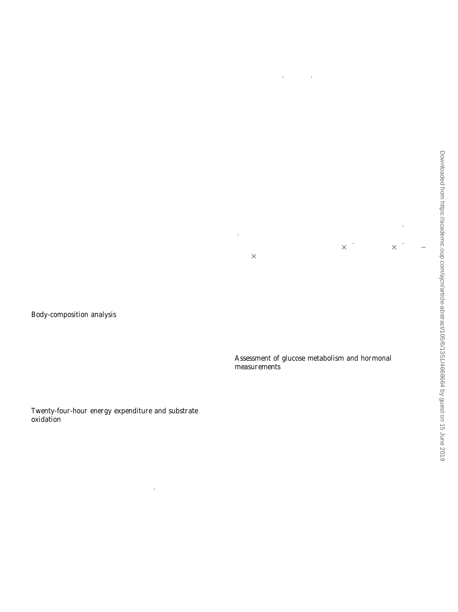kitchen. Participants were instructed to only consume the proesearch-grade instrumentation is accurate to 0.001% for mass vided food, water, and unsweetened tea and to refrain fromairßow (liters) and oxygen and carbon dioxide concentrations. vigorous physical activity. During the Þrst 2 d of the 3-d run-in Moreover, water vapor pressure (kilopascals) of the sample gas period, participants ate ad libitum and leftovers were backstream was measured directly to 0.001 kpa and used to continweighed to calculate dietary intake. On the other study days, ously correct  $O_2$  and  $\sqrt{CO_2}$ , along with mass airßow (liters). all of the provided food was consumed and participants werThis eliminates the need for any type of desiccant to dry the required to remain sedentary. Macronutrient composition wasample gas stream during metabolic measurements. The lack of kept constant throughout the entire study period and for ead tesiccants eliminates any potential errors due to incomplete meal. On intervention days, participants received the same foodmoval of moisture before analysis of sample gases and mass items on each day. Individual diet composition was calculatedirßow (14). Data acquisition and processing were performed by using Prodi6 software (Wissenschaftliche Verlagsgeselafter completion of each metabolic test by using Sable Systems schaft). Energy intake was based on individual energy reExpeData software (Sable Systems International). quirements to obtain energy balance. Skipped meals were Mean values were obtained from minute-to-minute intervals. therefore compensated for by an equally increased energy cole correct the measured RQ for protein oxidation, nonprotein RQ tent of the other 2 meals on this day (equal energy content onnpRQ) was calculated by using nitrogen excretion in 24-h urine both remaining meals). On the control day, each of the 3 mealdacronutrient oxidation was computed according **equier** and had the same energy content. Individual energy requirement was ber (15). During the stay in the respiratory chamber, 24-h calculated on the basis of resting metabolic rate measured byine samples were collected in polyethylene containers. open-circuit indirect calorimetry on the morning after an over-Nitrogen excretion in 24-h urine was calculated from photonight fast (ventilated hood system, Quark RMR; COSMED)metrically measured urea concentration, and obligate nitrogen before the study period and multiplied by a physical activitylosses by feces and skin were assumed to be +2.5 g N/d (16) level of 1.35 as estimated for the days in the respiratory chamber. Physical activity was continuously measured by using a triaxial activity monitor (ActivPAL; Paltechnologies Ltd.).The time spentby using the Weir equation (3.94 $*$  VO<sub>2</sub> + 1.106 $\times$  VCO<sub>2</sub> sitting or lying, standing, and stepping and the step numbers weæt7  $\times$  g urinary nitrogen) (17). Twenty-four-hour npRQ and analyzed. The ActivPAL was worn at the midline of the thigh,24-h macronutrient oxidation were assessed from 0600 to 0609 one-third of the way between the hip and knee and Þxed withn the following day. Macronutrient and energy balance was a waterproof tape according to the recommendation of thdetermined by subtracting macronutrient oxidation and energy manufacturer. Energy expenditure for 24 h was calculated from  $\tilde{\rho}_2$  and  $\dot{\texttt{W}}$ CO<sub>2</sub> and nitrogen excretion to correct for protein metabolism expenditure from the respective intake. On 2 days, technicall Downloaded from https://academic.oup.com/ajcn/article-abstract/105/1351/4668664 by guest on 15 Guest on 15 June 2019

problems with the power supply occurred. The respiratory chamber data for these 2 participants were excluded for all days because of the crossover study design with intraindividual

#### Body-composition analysis

Examinations took place before the 3-d run-in period after anomparisons. FFAs were measured photometrically, and total overnight fast. Height was measured with a stadiometer (SectUC (tAUC) was calculated for 14 h (0700Đ2100). 05/6/1351/466 274; Seca GmbH & Co. KG). Body weight was measured on a

calibrated impedance scale (Seca mBCA 515; Seca GmbH &

Co. KG). Fat mass was assessed by using air-displacement Assessment of glucose metabolism and hormonal

plethysmography via the BodPod Body Composition System easurements

(COSMED). Fat mass index (FMI) was calculated as fat mass Interstitial glucose concentrations were measured continuousl divided by the square of height (kg $\hat{\eta}$ n

Twenty-four-hour energy expenditure and substrate oxidation

by using the Dexcom G4 glucose-monitoring device (Dexcom G $\tilde{P}$ Platinum; Nintamed GmbH & Co. KG) during the entire room- $\frac{8}{9}$ calorimeter phase. The sensor was applied to the back of the upper arm to measure interstitial glucose concentrations in the subcutaneous tissue. Sensor readings were reported every 5 min.

The 2 respiratory chambers at the Institute of NutritionalThe device was calibrated twice a day by using capillary blood Medicine at the University of Hohenheim measure  $\frac{3}{9}$  and samples. AUC was calculated as tAUC for the entire intervention have a total volume of 21,000 L (D&S Consulting Services,days (0600Đ0600) by using trapezoidal rule (18). Glucose vari≤ Inc.). They are furnished with a day bed, chair and desk, comability was assessed by the Mean Amplitude of Glycemic Exputer with Internet access, telephone, toilet, and sink. Air locksursions (MAGE) (19) by using a published macro (20). are used for the exchange of food and equipment. Macronutrient Glucose was measured with the use of a hexokinase method, and oxidation was determined by measuring oxygen consumptioserum insulin was determined by electrochemiluminescence. In-(VO<sub>2</sub>) and carbon dioxide production  $\overline{C}O_2$ ) continuously by cremental AUC (iAUC) was calculated by using trapezoidal rule the Promethion (model GA-3mEG-250) integrated whole- (18) for 2 h postprandially after lunch on BSD and DSD. HOMA-IR room indirect calorimeter syem (Sable Systems Interna- (21) and the postprandial homeostasis model assessment index tional). This was accomplished by ßowing a Þxed 80 L fres $\nparallel$ OMApp) after lunch (22) on BSD and DSD was determined. air/min through the metabolic chamber and obtaining a sample Postprandial iAUCs and HOMApp after lunch were only on the exhaust side of the system for measurement of oxygenssessed on BSD and DSD because of the smaller energy content and carbon dioxide concentrations (%). The rates of oxygen llunch on the control day. Twenty-four-hour insulin secretion consumption and carbon dioxide production were then calwas obtained by 24-h urinary C-peptide excretion by using the culated by using equations derived by Brown et al. (13). Th**&minescence immunoassay method.**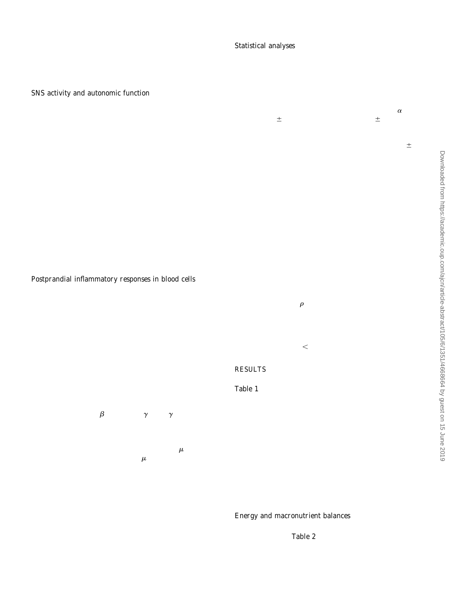## 1354 NAS ET AL.

Cortisol secretion was determined by luminescence immuStatistical analyses noassay, and tAUC was calculated for 22 h (0700Ð0500). Ghrelin Together with total energy expenditure, fat oxidation was the was examined by radioimmunoassay, and tAUC was calculated regearer man clustering, experience, an experience used for for 14 h (0700Ð2100).

## SNS activity and autonomic function

power analysis. According to the main hypothesis, fat oxidation was compared between BSD or DSD and the control day. Power analysis was conducted by using G-Power 3.1.9.2 software

Heart rate variability (HRV) was assessed in a continuous written by Faul F., University of Kiel, Germany) and a 2-sided electrocardiographic (ECG) recording by using an autonomics of Means+ SDs for fat oxidation (61.9+ 4.6 g/d) were nervous system recorder (ANS-Recorder Flex BT; Neurocor Ltd.  $\ddot{\hat{\phi}}$ .05. Means SDs for fat oxidation (61.9 4.6 g/d) were Co. KG). Measurements weromducted in a sitting position for 5 min every 2 h throughout the intervention days and every 30 min difference in fat oxidation with a power of 80%, a total sample after the scheduled meal time for 2 h, even when the meal was  $e^{i\pi/2}$  of  $n = 13$  was required. Data are reported as means  $D_s$ skipped. ECG recordings were made under a nonstressful situation es otherwise speciÞed. Normal distribution was checked by that we deÞned as quietly resting in an armchair in the respiratory Kolmogorov-Smirnov test. Repeated-measures ANOVA was chamber with dimmed lighting. The ECG signal was inspected for seamine differences in the variables of energy and artifacts and analyzed by using corresponding NeurocorV R soft-acronutrient balance, glucose metabolism, HRV data, and ware (ANS-Explorer V3.5.11; Neurocor Ltd. & Co. KG). Time-Catecholamine and cortisol concentrations between the 3 indomain variables included the SD of normal-to-normal intervals tervention days. SigniÞcant effects were followed with pairwise comain reneated instable the UD of Hommaine Hermain increase comparisons and Bonferroni post hoc tests. Differences between difference in successive normal-to-normal intervals (RMSSD;  $\ddot{A}$ <sup>he skipping days in insulin, glucose, and ghrelin concentrations</sup> all concerns in cases for number of number and value of symptone analyzed by paired test, and WilcoxonÕs test was used if measure of parasympathological administry. The a matrix of sympatia were not distributed normally. Sex differences in baseline to high frequency (HF; 0.15Ð0.4 Hz; LF:HF) was analyzed. characteristics were analyzed by using independent-samples Let the negative process that we can be the set of the set. Differences between regular breakfast eaters and occa-<br>Adrenaline and norepinephrine excretions in 24-h urine were test. Differences between regular breakfast eat referance and herepring prime exercise in E. In almo world breakfast skippers as well as between participants with a<br>measured by using liquid chromatographyĐmass spectrometry. based on the data of Munsters and Saris (6). To show a 6% Downloaded from https://academic.oup.com/ajcn/article-abstract/105/6/1351/4668664 by guest on 15 June 2019

## Postprandial inflammatory responses in blood cells

low and high FMI were tested by Mann-Whitney test. Correlations between npRQ and C-peptide, FFA tAUC, RMSSD. adrenaline, or norepinephrine as well as correlations between

To investigate if breakfast skipping changed the reservative, a nerepresentitive as non-allel connections computed sponsiveness of peripheral leukocytes, we used standardized full-<br>and included the data for all intervention and included the data for all intervention sponsiveness of periprieral leukocytes, we used standardized lygsted by Spearman**Ôa**nd included the data for all intervention <sup>To</sup><br>blood assays. These overcome limitations associated with they cytokine data were tested by classical analysis of cell subpopulations and are highly reliable post hoc test and were analyzed and visualized by using GraphPad and reproducible and less prone to contamination and variability rism 7.0 (GraphPad Software). All other analyses were conducted than the analysis of isolated blood cells (23). by using SPSS statistical software (version 23; SPSS, Inc.). Sig-

Heparin blood samples were collected before and 30 min, 1 1.5 h, 2 h, and 4 h after lunch on BSD and DSD. Blood was hi Þcance was set  $\mathbb{R} < 0.05$ .

diluted in culture medium (Roswell Park Memorial Institute

1640; Gibco) and stimulated for 16 h with the T cell mitogen RESULTS

351/4668 phytohemagglutinin (Sigma-Aldrich) and the NOD-like receptor Baseline characteristics of the study population are shown in protein 3 (NLRP3) inßammasome activators LPS and nigerici $\eta_{\rm able}$ 1. Eight women and 9 men aged 20Ð31 y participated in (both from Invivogen). Cytokine release into the supernatant wanis study. BMI (in kg/m) and percentage of body fat mass measured by ELISA (IL-6 Duo Set; R&D Systems, Bio-Techne) anged between 18.3 and 35.0 and 7.4% and 33.9%, respectively. and AlphaLISA [IL-1 $\beta$ , interferon  $\gamma$  (IFN- $\gamma$ ); PerkinElmer], According to WHO criteria, 3 participants were overweight, 2 $\frac{2}{9}$ according to the manufacturersÖ protocols. Measurements were e obese, and 1 was underweight. 하 conducted on an Enspire Multimode reader (PerkinElmer).

To analyze the effect of insulin on blood cells, blood of 1 donomean FMI showed that there were no differences in mea was either incubated for 1 or 2 h with 100 or 200 insulin/mL before cells were stimulated with 10g phytohemagglutinin/mL or mock-treated for 16 h. Subsequently, IL-6 release into thglycemia; C-peptide excretion; 24-h energy expenditure; or fat medium was measured by ELISA (IL-6 Duo Set; R&D Systemsoxidation. However, our study was not powered to detect dif-Bio-Techne). Dividing men and women into 2 groups according to their skippingÐinduced changes between the 2 groups in postprandial glucose iAUC, insulin iAUC, and HOMApp after lunch; 24-h  $\vec{\omega}$ ferences between participants with lower and higher FMI.

T cell composition of the peripheral blood was analyzed by herefore, these analyses should be interpreted with caution. ßuorescence-activated cell sorting staining with CD45-Peridinin-

Chlorophyll-protein, CD3Ðßuorescein isothiocyanate, CD4- Phycoerythrin, and CD8-Allophycocyanin (all from Miltenyi Energy and macronutrient balances

Biotec) by using a FACSCanto (BD) device. Brießy, erythrocytes Energy intake (kilocalories) was similar by design for the 3 were lysed (BD FACS Lysing Solution), leukocytes were washedntervention days (able 2). Twenty-four-hour energy expendiwith ßuorescence-activated cell sorting buffer (phosphate-bufferedre (kilocalories) was higher on both skipping days than on the saline with 2% fetal calf serum, 2 mmol EDTA/L, and 0.01% control day. Energy balance (kilocalories per day) on the control sodium azide) and stained with the antibodies. day was therefore slightly positive and differed from that on the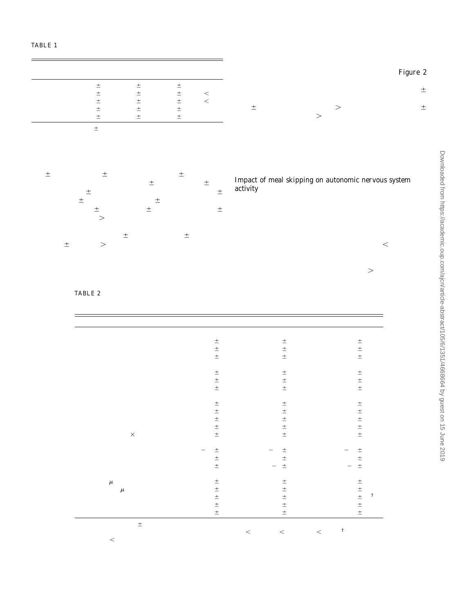TABLE 1 Baseline characteristics of the study population

|                 | Women<br>$(n = 9)$ | Men<br>$(n = 8)$ | Total<br>$(n = 17)$ | $P^2$   |  |
|-----------------|--------------------|------------------|---------------------|---------|--|
| Age, y          | $23.7 \pm 2.5$     | $25.6 \pm 3.9$   | $24.6 \pm 3.3$      | NS.     |  |
| Height, m       | $1.64 \pm 0.06$    | $1.83 \pm 0.08$  | $1.73 \pm 0.11$     | < 0.001 |  |
| Body weight, kg | $57.7 + 7.9$       | $88.0 \pm 17.3$  | $71.9 \pm 20.1$     | < 0.001 |  |
| BMI, $kg/m2$    | $21.2 \pm 1.9$     | $26.6 \pm 5.2$   | $23.7 \pm 4.6$      | 0.022   |  |
| FMI, $kg/m^2$   | $5.7 \pm 1.6$      | $6.2 \pm 3.6$    | $6.0 \pm 2.6$       | NS.     |  |

TABLE 2

<sup>1</sup> Values are meanst SDs. FMI, fat mass index.  $2P$  values for sex differences testbol using independent-sampletest.

skipping days. However, physical activity did not differ between both similar between all intervention days. the skipping days and the control day (number of stepsÑBSD:

655  $\pm$  247; DSD: 710 $\pm$  238; and control: 64 $\pm$  207 steps/d; time spent sitting or lying $\overline{N}$ BSD: 22.3 $\pm$  0.7; DSD: 22.1 $\pm$  1.1; and control:  $22.3 \pm 0.8$  h/d; time spent standing NBSD: 1.56 0.7; DSD: 1.7 $\pm$  1.0; and control: 1.6 $\pm$  0.8 h/d; time spent steppingÑBSD:  $0.2\pm 0.1$ ; DSD:  $0.2\pm 0.1$ ; and control:  $0.2\pm$ 0.1 h/d; all  $n = 15$ ;  $P > 0.05$ ).

carbohydrate oxidation was lower on BSD, whereas both variables did not differ from the control on DSD. FFA tAUC was higher on BSD and DSD than on the control day. No association was observed between FFA tAUC and 24-h npRQ gure 2 shows the proÞles of 24-h fat and carbohydrate oxidation. Even after lunch, postprandial fat oxidation on the BSD (12.05 4.37 g/2 h or 0.1 g/min) was higher than on the control day  $(9.64 \pm 4.14 \text{ g}/2 \text{ h or } 0.08 \text{ g/min}$ ?  $> 0.001$ ) or on the DSD (9.926) 4.67 g/2 h or 0.08 g/min $P > 0.01$ ).

Fat balance was more negative and carbohydrate balance more positive on the BSD than on the control day (Table 2). On the DSD, fat and carbohydrate balances did not signiÞcantly differ from that on the control day. Protein oxidation and balance were

Impact of meal skipping on autonomic nervous system activity

No difference in fasting npRQ was observed between the **Gonitoring**, with a higher RMSSD in the morning with breakfast Although 24-h adrenaline and norepinephrine excretion did not differ between the intervention days, signiÞcant differences in diurnal autonomic nervous system activity were shown by heart rate skipping than with dinner skipping (data not shown). Overall HRV  $\frac{8}{9}$ Downloaded from https://academic.oup.com/ajcn/article-abstract/105/6/1351/4668664 by guest on 15 June 2019

intervention days (BSD:  $0.82$ : 0.04; DSD:  $0.81±0.05$ ; control:  $~0.83\pm~0.05;$  P  $>~0.05)$ . Components of macronutrient was higher on the BSD than on the DSD (SDRR; 0.05) but not balance are presented in Table 2. Macronutrient intake wasompared with the control day (Table 2). Mean parasympathetig similar between the 3 intervention days. When compared wittone (RMSSD) and mean sympathovagal balance (LF:HF) did not nn/ajcn/article-abstract/105/6/1351/4668664 by guest on 15 June 2019 the control day, 24-h fat oxidation was higher and 24-rdiffer between the intervention days (borth $>$  0.05).

| --------                                                                                                       |  |
|----------------------------------------------------------------------------------------------------------------|--|
| Comparison of the components of energy and macronutrient balance and SNS activity between BSD, DSD, and the 3- |  |
| meal control                                                                                                   |  |

|                                    | Control         | <b>BSD</b>         | <b>DSD</b>            |
|------------------------------------|-----------------|--------------------|-----------------------|
| Energy balance, kcal/d             |                 |                    |                       |
| Energy intake                      | 2283 487        | $2248 \pm 486$     | 2249 ± 486            |
| 24-h Energy expenditure            | 2154 441        | 2195 ± 461**       | $2245 \pm 463***$     |
| Energy balance                     | 130: 158        | $53 \pm 143***$    | $5 \pm 130***$        |
| Macronutrient intake, g/d          |                 |                    |                       |
| Fat                                | $75 \pm 17$     | $74 \pm 16$        | $74 \pm 16$           |
| Carbohydrate                       | 302 67          | $303 \pm 66$       | $303 \pm 66$          |
| Protein                            | $84 \pm 18$     | $83 \pm 18$        | $83 \pm 18$           |
| Macronutrient oxidation            |                 |                    |                       |
| 24-h np $R\ddot{Q}$                | $0.85 \pm 0.05$ | $0.83 \pm 0.05$ ** | $0.84 \pm 0.05$       |
| 24-h Protein oxidation, g/d        | $81 \pm 18$     | $86 \pm 17$        | $84 \pm 20$           |
| 24-h Carbohydrate oxidationg/d     | $237 \pm 60$    | $205 \pm 53*$      | $233 \pm 56$          |
| 24-h Fat oxidation, g/d            | $97 \pm 45$     | $110 \pm 46***$    | $106 \pm 48$          |
| tAUC FFAs, $mg/dL \times 14$ h     | $79 \pm 21$     | $163 \pm 32***$    | $136 \pm 36***$       |
| Macronutrient balance g/d          |                 |                    |                       |
| Fat balance                        | $-22 \pm 33$    | $-36 \pm 33***$    | $-32 \pm 35$          |
| Carbohydrate balance               | 70 70           | $97 \pm 78$ *      | $69 \pm 76$           |
| Protein balance                    | $3E$ 22         | $-3 \pm 14$        | $-1 \pm 21$           |
| <b>SNS activity</b>                |                 |                    |                       |
| Adrenaline, $\mu$ g/d              | $11 \pm 3$      | $10 \pm 3$         | $10 \pm 3$            |
| Norepinephrine $\mu$ g/d           | $37 \pm 13$     | $44 \pm 12$        | $44 \pm 14$           |
| SDRR, ms                           | $55 + 15$       | $59 \pm 18$        | $53 \pm 14^{\dagger}$ |
| RMSSD, ms                          | $38 + 16$       | $41 \pm 19$        | $36 \pm 14$           |
| LF:HF <sub>1</sub> <sup>2</sup> ms | $2.8 \pm 3.1$   | $2.7 \pm 2.5$      | $2.4 \pm 2.1$         |

<sup>1</sup> Values are means:  $SDs; n = 17$  unless otherwise indicated. Repeated-measures ANOVA with Bonferroni adjustments was used.\*\*\*\*\*\*BSD or DSD compared with control: P  $<$  0.05, \*\*P  $<$  0.01, \*\*\*P  $<$  0.001.<sup>†</sup>DSD compared with BSD, P < 0.05. BSD, breakfast skipping day; DSD, dinner skipping day; FFA, free fatty acid; HF, high-frequency domain; LF, low-frequency domain; npRQ, nonprotein respiratory quotient; RMSSD, root-mean-square successive difference; SDRR, SD of all normal-to-normal intervals; SNS, sympathetic nervous system; tAUC, total AUC.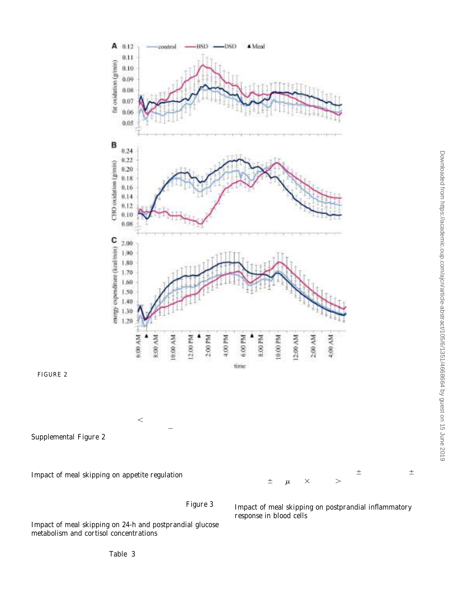

FIGURE 2 Twenty-four-hour fat oxidation (A), carbohydrate oxidation (B), and energy expenditure (C) for control, BSD, and DSD greup5)( Mean values of 15 min were plotted, and SEs are shown only at every 30 min for clarity. Differences in the corresponding 24-h cumulative oxidations and 2 energy expenditure are reported in Table 2. BSD, breakfast skipping day; CHO, carbohydrate; DSD, dinner skipping day.

(HOMA-IR), 24-h glycemia (tAUC by continuous glucose reduction in IL-6 release in blood drawn within 1 h after the lunch

Twenty-four-hour npRQ showed a positive correlation with parasympathetic tone  $\in$  0.52, P  $<$  0.001) and an inverse association with norepinephrine excretion  $\neq -0.46$ , P = 0.002; Supplemental Figure 2A). A higher norepinephrine excretion also correlated with a higher 24-h energy expenditure  $(0.41, 0.41)$  $P = 0.005$ ; Supplemental Figure 2B).

Impact of meal skipping on appetite regulation

 $\Gamma$  and the morning on the BSD: 156  $\pm$  40  $\mu$ g/dl  $\times$  22h; P  $>$  0.05).<br>Ghrelin concentrations were higher in the morning on the BSD and in the evening on the DSD, equalizing one another to a similar ghrelin tAUC between the BSD and DSDigure 3).

Impact of meal skipping on 24-h and postprandial glucose metabolism and cortisol concentrations

monitoring data), and glucose variability (MAGE) as well as 24-h insulin secretion (24-h C-peptide excretion) were all similar between the intervention days. However, when compared with dinner skipping, breakfast skipping resulted in higher postprandial iAUCs of glucose and insulin as well as a higher HOMApp after lunch. No correlation was observed between C-peptide and 24-h npRQ. Cortisol tAUC and 24-h cortisol proÞle did not differ between intervention days (control:  $1245$ ; BSD:  $181 \pm 45$ ;

Impact of meal skipping on postprandial inflammatory response in blood cells

Variables of fasting and 24-h and postprandial glucose meroinßammatory cytokine IL-6 in fasting blood. When comtabolism are shown inTable 3. Fasting insulin sensitivity paring the kinetics of the response toward the fasting condition, a Mitogenic stimulation of full-blood cultures for 16 h with phytohemagglutinin signiÞcantly induced the secretion of the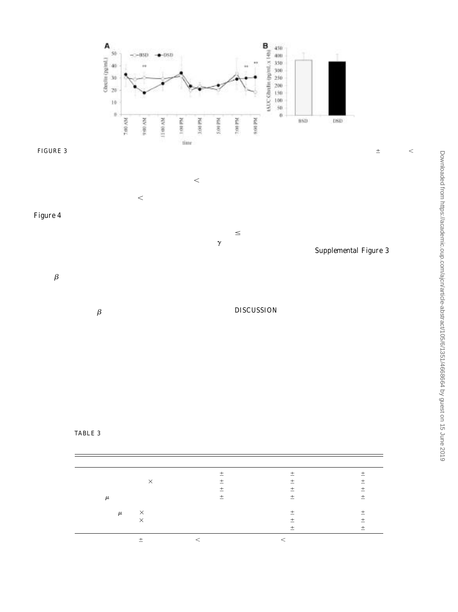

FIGURE 3 ProÞle of ghrelin concentrations (A) and comparison of tAUCs (B) between BSD and  $\bf{DSB}$ )(Values are means SDs. \*\*P < 0.01 (pairedt test). BSD, breakfast skipping day; DSD, dinner skipping day; tAUC, total AUC.

was observed, which was signibcant for 30 min (BBB: 0.0001; DSD: P = 0.0038). By contrast, at later time points, and signiÞsuggests that the changes in the cytokine concentrations on cantly at 4 h postprandially (BSD:  $< 0.0001$ ; DSDP = 0.0013), the cells were more responsivteward phytohemagglutinin intrinsic signaling pathways. lymphocytes was observed (data not shown), which strongl phytohemagglutinin stimulation were due to changes in the cell $\bar{3}$ 

(Figure 4A). When comparing BSD with DSD, IL-6 responses We also tested if insulin might be directly responsible for this were signiÞcantly higher at 4 **a**fter lunch when the partici- effect by treating blood from a fasting donor at different times for pants did not receive a breakfa $\Re\neq 0.0042$ ). An overall similar  $\leq$ 4 h with human insulin before stimulating the cells with postprandial response was obtained for the T cell cytokine <del>IF</del>N- phytohemagglutinin. This did not result in any signiÞcant<br>albeit no signiÞcant differences between BSD and DSD wershange in IL-6 secretionS(upplemental Figu albeit no signiÞcant differences between BSD and DSD werchange in IL-6 secretionS(upplemental Figure 3). Moreover, shown (Figure 4A). the kinetics of insulin concentrations did not correlate with the

Because food intake was shown to induce a higher releasesponsiveness of the leukocytes, suggesting that insulin alone is of IL-1 $\beta$  on NLRP3 stimulation in human peripheral bloodnot the responsible stimulus for the change in the postprandial<br>mononuclear cells and monocytes 3 h postprandially (24), wenmune response mononuclear cells and monocytes 3 h postprandially (24), wienmune response. m/article-abs

decided to include the NLRP3 inßammasome activator nigericin

(+LPS) in our study for a subsample of the study group. Sig-

niÞcantly higher IL-ß responsesR = 0.0246) were observed DISCUSSION<br>4 b postprandially with breakfast skipping, whereas this differ-, Contrary t 4 h postprandially with breakfast skipping, whereas this differ- Contrary to our primary hypothesis, breakfast and dinner ence was not signiÞcant with dinner skipping (Figure 4B). Notablyskipping led to a small but signiÞcant increased 24-h energ $\vec{y}$ for all responses, we observed a trend toward lower cytokine rexpenditure (+41 and +91 kcal/d) compared with a conventional lease from blood cells drawn at earlier time points (30 min to 1 h)3-meal pattern and thus improved energy balance under cond $\mathbb {R}$ which was signiÞcant in some cases. tions of Þxed energy intake. Our results are in contrast to previous

Downloaded from https://academic.oup.com/ajcn/article-abstract/105/6/1351/4668664 by guest on 15 June 2019Next, we addressed whether differences in the abundance **con**trolled studies that used metabolic chambers, which found no lymphocyte populations explained our observations becauseffect of breakfast skipping on energy expenditure compared these were reported to occur after food intake (25Đ27). Weith a conventional 3-meal pattern (8) or a high consumption therefore measured T cell composition of the peripheral bloottequency of 6 (5) or 7 (4) meals. The discrepant results may be used for the stimulation assays from 2 representative donors. None to methodologic differences between the studies. Taylor and signiÞcant change in the proportion of CD8ells from total Garrow (5) examined overweight and obese subjects under  $\Xi$ 

TABLE 3 Comparison of the fasting, 24-h, and postprandial glucose metabolism variables between the skipping days and the 3-meal control

|                                                                     | Control         | <b>BSD</b>      | <b>DSD</b>       |
|---------------------------------------------------------------------|-----------------|-----------------|------------------|
| $HOMA-IR2$                                                          | $1.96 \pm 0.82$ | $2.07 \pm 0.91$ | $1.96 \pm 1.05$  |
| 24-h Glycemi $_{\text{\scriptsize AUC}}$ , $^2$ mg/dL $\times$ 24 h | $2360 \pm 111$  | $2425 \pm 131$  | $2374 \pm 165$   |
| MAGE <sup>2</sup>                                                   | $3.90 \pm 1.32$ | $3.65 \pm 1.52$ | $3.28 \pm 1.75$  |
| C-peptide, $\mu$ q/d                                                | $74 \pm 38$     | $86 \pm 40$     | $75 \pm 42$      |
| Postprandial variables after lunch                                  |                 |                 |                  |
| iAUC insulin, $\mu$ U/mL $\times$ 2 h                               | N               | $211 \pm 74$    | $144 \pm 74**$   |
| iAUC glucose, $mq/dL \times 2$ h                                    | N               | $114 \pm 41$    | $62 \pm 40***$   |
| <b>HOMApp</b>                                                       | N               | $59 \pm 44$     | $27 \pm 23^{**}$ |

<sup>1</sup>Values are meanst SDs; n = 17. \*\*P < 0.01 (WilcoxonÕs test); \*P < 0.001 (pairedt test). BSD, breakfast skipping day; DSD, dinner skipping day; HOMApp, postprandial homeostasis model assessment; iAUC, incremental AUC; MAGE, mean amplitude of glycemic excursions; tAUC, total AUC.

<sup>2</sup> Repeated-measures ANOVA with Bonferroni adjustments was used.

Download

15 June 2019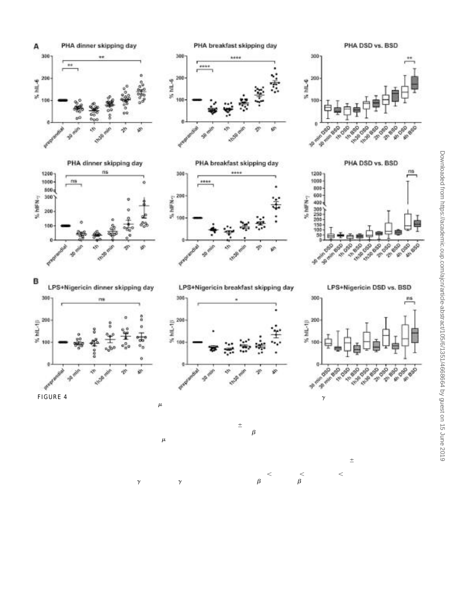

FIGURE 4 Cytokine responses in the fasted and postprandial state. (A) **it\_**61(6; upper panels) and IFN-(n = 10; lower panels) cytokine release<br>Im human blood cells after stimulation with 10 phytohemagglutinin/ml\_for 16 b\_B from human blood cells after stimulation with 10g phytohemagglutinin/mL for 16 h. Blood was sampled in the fasted state (preprandial) and at indicated<br>time points after lunch (postprandial). The cytokine response for each time points after lunch (postprandial). The cytokine response for each time point is shown as a percentage compared with the fasted state and dwas measu after a normal breakfast on DSD (left panels) or BSD (middle panels). The comparison between the kinetics of the cytokine response after BSD and a norma breakfast is shown in the right-hand panels. Values for the dot plots are mealisms; the box-and-whisker plots show medians with upper and lowers quartiles, with the maximum and minimum values represented by the whiskers. ( $\frac{1}{2}$ ) dytokine release from human blood cells after stimulation with 1 ng LPS/mL for 16 h followed by stimulation with 5 mol nigericin/L for 1.5 h (NLRP3 inßammasome activation). Blood was sampled in the fasted state (preprandial) and at indicated time points after lunch (postprandial). The cytokine response for each time point is shown as a percentage dortheared with fasted state and was measured after a normal breakfast on DSDO; left panels) or BSDn = 12; middle panels). The comparison between the kinetics of the cytokine response after BSD and a normal breakfast is shown in the right-hand panels. Values for the dot plots are **Shelters** and evhisker plots show the medians with upper and lower quartiles, with the maximum and minimum value represented by the whiskers. Statistical testing for soliffer between indicated groups was performed by using ANOVA with TukeyÕs post hoc testing0.05, \*\*P < 0.01, \*\*\*\* P < 0.0001. BSD, breakfast skipping day; DSD, dinner skipping day; hIFN, human IFN<sub>7</sub>; hIL-6, human IL-6; hIL-13, human IL-13; NLRP3, NOD-like receptor protein 3; PHA, phytohemagglutinin.

negative energy balance, and Kobayashi et al. (8) investigated athe present study, the timing of meal skipping was important small number of participants who had higher 24-h glycemiaor inducing a change in macronutrient partitioning, because with breakfast skipping; in the study by Verboeket-van dethe increase in 24-h fat oxidation and the corresponding Venne and Westerterp (4), RQ and energy expenditure we**ræ**gative fat balance was signiÞcant only for breakfast skipping calculated over 3-h intervals only. However, in both of the lattebut not for dinner skipping.

studies breakfast skipping was found to increase fat oxidation Both breakfast and dinner skipping led to a longer duration of during the prolonged fasting period until the Þrst meal at 1200the overnight fasting period. Prolonged fasting can be considered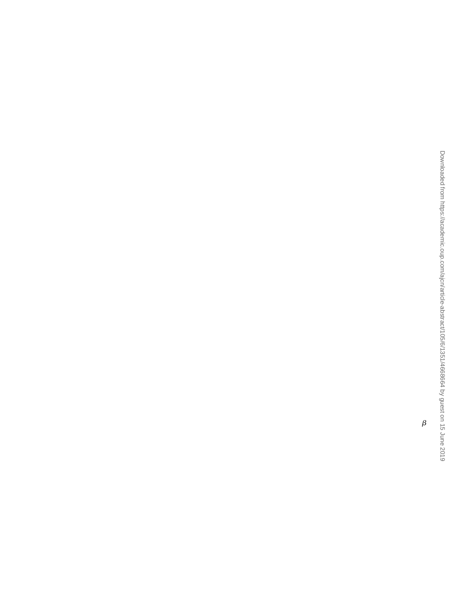to be a state of stress that leads to increased adrenergic activityfat oxidation (data not shown). An additional limitation of the and thus to higher lipolysis and increased energy expenditupresent study is the fact that only responses to the Þrst day of (28). In line with this Þnding, concentrations of FFAs (Table 2) breakfast skipping or dinner skipping were measured and thereand 24-h energy expenditure were higher on both skipping dayfore the metabolic consequences of habitual breakfast or dinner Twenty-four-hour excretions of adrenaline and norepinephrine kipping remain unclear.

were, however, similar between both intervention days and the 3- In patients with type 2 diabetes, habitual breakfast skipping meal control day. Nevertheless, we found that norepinephrineas associated with a later chronotype (a preference for later bed excretion inversely correlated with npRQ and positively with 24-hand wake times) that contributed to poorer glycemic control (33). energy expenditure when data from all intervention days werA disrupted circadian clock provides a mechanistic explanation combined. The individual propensity of meal skipping to increastor the relation between a disturbed diurnal eating pattern and norepinephrine concentrations could therefore explain the inalterations in glucose metabolism (34). Glucose metabolism is terindividual variance in fat oxidation and energy expenditurehighly circadian (35) and depends largely on the timing and

In addition to the duration of fasting, the timing of energy composition of nutrient ingestion. Because the body uses nutrient intake could also impact autonomic function and thus affecinput to set circadian rhythms (36), it is possible that both timing diurnal changes in substrate partitioning and energy expenditurend nutrient composition of the diet might be important for the In line with this assumption, later timing of breakfast and dinneprevention of metabolic disturbances.

has been found to cause a phase delay in the diurnal 24-h rhythmln line with impaired metabolic function with breakfast of cardiac autonomic nervous system activity assessed by HRNkipping, randomized controlled trials support higher glucose (29). Although autonomic regulation assessed by heart ratariability in lean subjects and impaired insulin sensitivity in monitoring differed between breakfast and dinner skippinǥbese participants who skip breakfast when compared with those (Table 2) a higher SDRR with breakfast skipping argueswho eat breakfast but found no effect on body weight or fat mass against a higher sympathetic tone and rather suggests improveder a 6-wk period (31, 37). In support of impaired glucose autonomic regulation with breakfast skipping. homeostasis with breakfast skipping, HOMApp and glucoses

Lower 24-h insulin secretion due to a prolonged fasting perio**d**oncentrations after lunch were higher with breakfast skipping with meal skipping could contribute to increased lipolysis-than with dinner skipping (Table 3). Compared with dinner induced fat oxidation. However, although concentrations oskipping, higher postprandial fat oxidation at lunchtime after FFAs and 24-h energy expenditure were higher with both of thbreakfast skipping occurred despite increased insulin concer $\mathbb F$ meal skipping days than with the 3-meal control day, 24-h insulinrations and suggests metabolic inßexibility after prolonged secretion did not differ between any of the intervention daysasting. The mitochondrial capacity to switch freely between (Table 3). Of note, insulin excursions rather than cumulative 24-bxidative fuels in the transition from fasting to feeding is insulin secretion are more important for the regulation of nutrientherefore lost (38). In a healthy, metabolically ßexible state, the partitioning. Although a high frequency of 6, compared with 3,consumption of a high-carbohydrate meal results in an increase  $\mathfrak h$ meals was associated with lower 24-h insulin AUC, at the samblood insulin concentrations and respiratory quotient, indicative time it caused a marked suppression in 24-h FFA concentrations a robust shift from fatty acid to glucose oxidation. Increased between meals. This was due to the fact that frequent eatingt oxidation, despite higher postprandial insulin concentrations prevents a decrease in insulin, which facilitates lipolysis (7). Invith breakfast skipping, suggests the development of metabolig addition, a low meal frequency resulted in elevated energy exnßexibility in response to prolonged fasting that may increase penditure during the postprandial hours, indicating a greatenetabolic risk over time. contribution of DIT to 24-h energy expenditure (4). We also found that a longer fasting period with breakfast Downloaded from https://academic.oup.com/ajcn/article-abstract/105/6/1351/4668664 by guest on 15 June 2019

A limitation to our study protocol is that we cannot examineskipping increased inßammasome activity and inßammatory the effects of meal skipping on voluntary energy intake. Althoughesponses of peripheral leukocytes after lunch at later time points ghrelin concentrations were higher in the morning with breakfastFigure 4). Our data thereby showed reduced inßammatory a $\bar{\mathrm{c}}$ skipping and in the evening with dinner skipping, we found ndivity at earlier times after food intake and higher responses at differences in the AUC of 24-h ghrelin concentrations betweelater time points. Higher postprandial NLRP3-dependent *[*L-1<br>meal skinning davs and the 3-meal control day (see Resultsecretion has also been reported recently b meal skipping days and the 3-meal control day (see Results)ecretion has also been reported recently by others (24). Because However, a compensation of a higher energy expenditure and fattronic low-grade inßammation is known to impair insulin oxidation by a higher spontaneous energy or fat intake under adensitivity, enhanced postprandial inßammation could contribute libitum conditions cannot be ruled out. Interestingly, a higheto metabolic impairment with breakfast skipping. It is known meal frequency of 14 or 6 meals compared with 3 meals led tthat peripheral monocytes are activated after food intake and increased ghrelin concentrations (6) and ratings of hunger ansecrete more inßammatory cytokines than with fasting condi-Òdesire to eatÓ (6, 7). On the other hand, extending morningns (for review see reference 39), which might be even more fasting until lunch caused incomplete energy compensation withronounced in diabetic patients (40). The underlying stimuli for an ad libitum lunch (30, 31). Increased hunger and decreas**eto**is activation, however, remain largely elusive. The generation satiety in response to breakfast skipping were found primarily in freactive oxygen species by leukocytes (41) and higher gut habitual breakfast eaters (32). This may suggest that the effect onficrobiotaÐderived LPS in the serum after feeding (42) have meal skipping on appetite regulatory systems is enhanced breen discussed as possible mechanisms. Most available experihabitual breakfast eaters. In the present study, no differencerental data, however, support that FFAs from macronutrient were observed between regular breakfast eaters and occasiomatake might be responsible for postprandial inßammation. breakfast skippers on meal skippingÐinduced changes in ghre*l*hithough some concepts are emerging, SFAs can activate Tollconcentrations, glucose regulation, and 24-h energy expenditulite receptor (TLR) 4 (43) and FFAs synergize with high glucose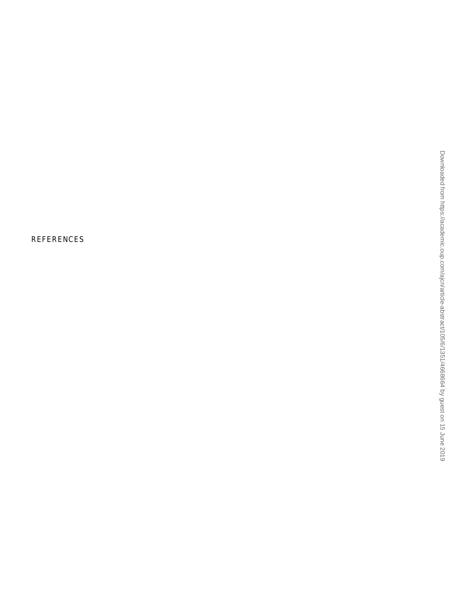concentrations to amplify reactive oxygen species generation 5. Jequier E, Felber JP. Indirect calorimetry. Baillieres Clin Endocrinol and inßammatory responses mediated by TLR2/6 and myeloid Metab 1987;1:911Ð35. differentiation factor 2 (MD2)/TLR4 in vitro (44). Moreover, G proteinÐcoupled FFA receptors, such as GPR43, can induce inßammatory responses in leukocytes (45). Increased lipolysis and FFA concentrations with extended fasting with breakfast skipping may therefore be causal for the observed effects.

Altogether, the present results support the association between, Neir JB. New methods for calculating metabolic rate with special breakfast skipping and disturbed glucose homeostasis, which is not explained by a positive energy balance. On the contrary, both8. Matthews JN, Altman DG, Campbell MJ, Royston P. Analysis of serial breakfast skipping and dinner skipping increased total energy measurements in medical research. BMJ 1990;300:230Ð5. expenditure. In conclusion, a causal role of breakfast skipping for the development of obesity is not supported by the present data.

The authorsÕ responsibilities were as followsÑAB-W: designed the research study; AN, NM, FH, J Kahlifer, J Keller, and AB-W: performed the research; RR: provided technical support for the metabolic chamber; AN, FH, and NM: analyzed the data; AN, A-BW, NM, TAK, and RR: wrote the manuscript; AN and AB-W: had primary responsibility for the Þnal content; 21. Matthews DR, Hosker JP, Rudenski AS, Naylor BA, Treacher DF, and all authors: read and approved the Þnal manuscript. None of the authors reported a conßict of interest related to the study.

#### REFERENCES

- 1. Qin L-Q, Li J, Wang Y, Wang J, Xu J-Y, Kaneko T. The effects of nocturnal life on endocrine circadian patterns in healthy adults. Life  $_{23}$ Sci 2003;73:2467Ð75.
- 2. Farshchi HR, Taylor MA, Macdonald IA. Deleterious effects of omitting breakfast on insulin sensitivity and fasting lipid proÞles in healthy lean women. Am J Clin Nutr 2005;81:388Ð96.
- 3. Casazza K, Brown A, Astrup A, Bertz F, Baum C, Brown MB, Dawson J, Durant N, Dutton G, Fields DA, et al. Weighing the evidence of common beliefs in obesity research. Crit Rev Food Sci Nutr 2015;55:2014Ð53.
- 4. Verboeket-van de Venne WP, Westerterp KR. Inßuence of the feeding  $25$ . frequency on nutrient utilization in man: consequences for energy metabolism. Eur J Clin Nutr 1991;45:161Ð9.
- morning fast affect short-term energy balance in obese patients in a chamber calorimeter. Int J Obes Relat Metab Disord 2001;25:519Ð28.
- proÞles and substrate partitioning in lean healthy males. PLoS One 2012;7:e38632.
- 7. Ohkawara K, Cornier MA, Kohrt WM, Melanson EL. Effects of increased meal frequency on fat oxidation and perceived hunger. Obesit $38$ . Jensen MD, Haymond MW, Gerich JE, Cryer PE, Miles JM. Lipolysis (Silver Spring) 2013;21:336Ð343.
- 8. Kobayashi F, Ogata H, Omi N, Nagasaka S, Yamaguchi S, Hibi M, Tokuyama K. Effect of breakfast skipping on diurnal variation of energy 29. metabolism and blood glucose. Obes Res Clin Pract 2014;8:e201Ð98.
- 9. Romon M, Edme J, Boulenguez C, Lescroart J-L, Frimat P. Circadian of diet-induced thermogenesis. Am J Clin Nutr 1993;57:476Ð80.
- The human circadian system has a dominating role in causing the morning/evening difference in diet-induced thermogenesis. Obesity (Silver Spring) 2015;23:2053Ð8.
- 11. Bo S, Fadda M, Castiglione A, Ciccone G, De Francesco A, Fedele D, 31. Guggino A, Parasiliti Caprino M, Ferrara S, Vezio Boggio M, et al. Is the timing of caloric intake associated with variation in diet-induced thermogenesis and in the metabolic pattern? A randomized cross-over study. Int J Obes (Lond) 2015;39(12):1689Ð95.
- 12. Hill JO, Peters JC, Reed GW, Schlundt DG, Sharp T, Greene HL. Nutrient balance in humans: effects of diet composition. Am J Clin Nutr 1991;54:10Ð7.
- 13. Brown D, Cole TJ, Dauncey MJ, Marrs RW, Murgatroyd PR. Analysis of gaseous exchange in open-circuit indirect calorimetry. Med Biol Eng Comput 1984;22:333Ð8.
- 14. Melanson EL, Ingebrigtsen JP, Bergouignan A, Ohkawara K, Kohrt WM, Lighton JRB. A new approach for ßow-through respirometry measurements in humans. Am J Physiol Regul Integr Comp 35. Kalsbeek A, la Fleur S, Fliers E. Circadian control of glucose metab-Physiol 2010;298:R1571Ð9.

16. Mueller MJ, Westen<del>lfe</del>r J, Leser Chr, Weimann A, Przyrembel H. Eiwei§- aminosure- und stickstoffstoffwchsel. [Protein, aminoacids, and nitrogen metabolish 2nd.ed. In: Mueller MJ, editor. Ernahrungsmedizinische praxis; diagnostik, apention, behandlung. [Nutrition medical practice;diagnostics, prevention, treatment). Heidelberg (Germany): Springer Medizin Verlag; 2007. p. 126Ð35 ( in German).

reference to protein metabolism. J Physiol 1949;109:1Ð9.

19. Marling CR, Shubrook JH, Vernier SJ, Wiley MT, Schwartz FL. Characterizing blood glucose variability using new metrics with continuous glucose monitoring data. J Diabetes Sci Technol 2011;5:871 D& Hill NR, Oliver NS, Choudhary P, Levy JC, Hindmarsh P, Matthews DR. Normal reference range for mean tissue glucose and glycemic variability derived from continuous glucose monitoring for  $\frac{1}{2}$ subjects without diabetes in different ethnic groups. Diabetes Technold

- Ther 2011;13:921Ð8. Turner RC. Homeostasis model assessment: insulin resistance and beta-cell function from fasting plasma glucose and insulin concentra $\exists$ tions in man. Diabetologia 1985;28:412Ð9.
- 22. Brynes AE, Mark Edwards C, Ghatei MA, Dornhorst A, Morgan LM, A Bloom SR, Frost GS. A randomised four-intervention crossover study investigating the effect of carbohydrates on daytime proÞles of insulin. glucose, non-esteriÞed fatty acids and triacylglycerols in middle-aged men. Br J Nutr 2003;89:207Ð18. Downloaded from https://academic.oup.com/ajcn/article-abstract/105/6/1351/4668664 by guest on 15 June 2019
- Duffy D, Rouilly V, Libri V, Hasan M, Beitz B, David M, Urrutia A, Bisiaux A, Labrie ST, Dubois A, et al. Functional analysis via standard- $\frac{8}{9}$ ized whole-blood stimulation systems deÞnes the boundaries of a healthy immune response to complex stimuli. Immunity 2014;40:436Ð50.

24. Traba J, Kwarteng-Siaw M, Okoli TC, Li J, Huffstutler RD, Bray A, Waclawiw MA, Han K, Pelletier M, Sauve AA, et al. Fasting and refeeding differentially regulate NLRP3 inßammasome activation in  $\frac{\Omega}{\Phi}$ human subjects. J Clin Invest 2015;125:4592Ð600.

van Oostrom AJ, Rabelink TJ, Verseyden C, Sijmonsma TP, Plokker HW De Jaegere PP, Cabezas MC. Activation of leukocytes by postprandial lipemia in healthy volunteers. Atherosclerosis 2004;177:175Ð82.

5. Taylor MA, Garrow JS. Compared with nibbling, neither gorging nor a 26. van Oostrom AJ, Sijmonsma TP, Rabelink TJ, Van Asbeck BS, Castro Cabezas M. Postprandial leukocyte increase in healthy subjects. Mexamental tabolism 2003;52:199Ð202.

6. Munsters MJM, Saris WHM. Effects of meal frequency on metabolic <sup>27</sup>. van Oostrom AJ, Sijmonsma TP, Verseyden C, Jansen EH, de Koning EJ, Rabelink TJ, Castro Cabezas M. Postprandial recruitment of neutrophils may contribute to endothelial dysfunction. J Lipid Res 2003;44:576Ð83.

during fasting: decreased suppression by insulin and increased stim $\mathbb {F}$ lation by epinephrine. J Clin Invest 1987;79:207Ð13.

Yoshizaki T, Tada Y, Hida A, Sunami A, Yokoyama Y, Togo F,  $\frac{1}{60}$ Kawano Y. Inßuence of dietary behavior on the circadian rhythm of the $\vec{a}$ autonomic nervous system as assessed by heart rate variability. Physiol Behav 2013;118:122Ð8.

10. Morris CJ, Garcia JI, Myers S, Yang JN, Trienekens N, Scheer FAJL 30. Chowdhury EA, Richardson JD, Tsintzas K, Thompson D, Betts JA. Carbohydrate-rich breakfast attenuates glycaemic, insulinaemic and ghrelin response to ad libitum lunch relative to morning fasting in lean  $\bowtie$ adults. Br J Nutr 2015;114:98Ð107.

31. Chowdhury EA, Richardson JD, Holman GD, Tsintzas K, Thompson D, Betts JA. The causal role of breakfast in energy balance and health: a randomized controlled trial in obese adults. Am J Clin Nutr 2016;103:747Ð56.

32. Thomas EA, Higgins J, Bessesen DH, McNair B, Cornier MA. Usual breakfast eating habits affect response to breakfast skipping in overweight women. Obesity (Silver Spring) 2015;23:750Ð9.

33. Reutrakul S, Hood MM, Crowley SJ, Morgan MK, Teodori M, Knutson KL. The relationship between breakfast skipping, chronotype, and glycemic control in type 2 diabetes. Chronobiol Int 2014;31:64Ð71. 34. Versteeg RI, Serlie MJ, Kalsbeek A, la Fleur SE. Serotonin, a possible intermediate between disturbed circadian rhythms and metabolic dis-

olism. Mol Metab 2014;3:372Ð83.

ease. Neuroscience 2015;301:155Ð67.